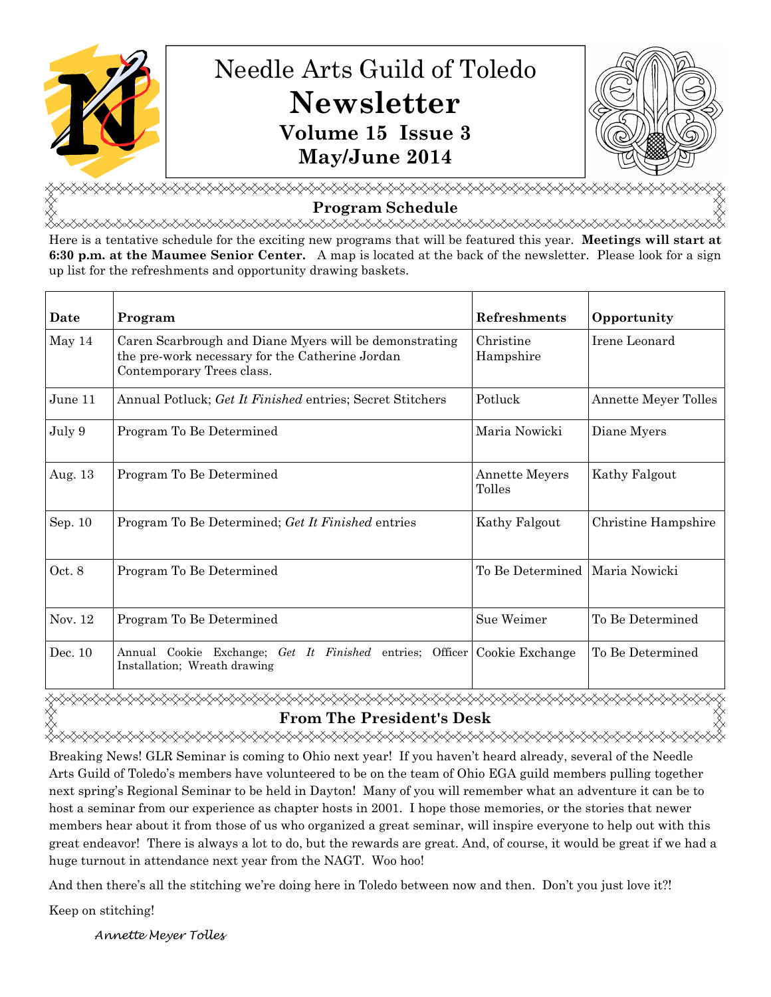

<del></del> **Program Schedule**  <del></del>

Here is a tentative schedule for the exciting new programs that will be featured this year. **Meetings will start at 6:30 p.m. at the Maumee Senior Center.** A map is located at the back of the newsletter. Please look for a sign up list for the refreshments and opportunity drawing baskets.

| Date    | Program                                                                                                                                | Refreshments                     | Opportunity          |
|---------|----------------------------------------------------------------------------------------------------------------------------------------|----------------------------------|----------------------|
| May 14  | Caren Scarbrough and Diane Myers will be demonstrating<br>the pre-work necessary for the Catherine Jordan<br>Contemporary Trees class. | Christine<br>Hampshire           | Irene Leonard        |
| June 11 | Annual Potluck; Get It Finished entries; Secret Stitchers                                                                              | Potluck                          | Annette Meyer Tolles |
| July 9  | Program To Be Determined                                                                                                               | Maria Nowicki                    | Diane Myers          |
| Aug. 13 | Program To Be Determined                                                                                                               | <b>Annette Meyers</b><br>Tolles  | Kathy Falgout        |
| Sep. 10 | Program To Be Determined; Get It Finished entries                                                                                      | Kathy Falgout                    | Christine Hampshire  |
| Oct. 8  | Program To Be Determined                                                                                                               | To Be Determined   Maria Nowicki |                      |
| Nov. 12 | Program To Be Determined                                                                                                               | Sue Weimer                       | To Be Determined     |
| Dec. 10 | Annual Cookie Exchange; Get It Finished entries; Officer Cookie Exchange<br>Installation; Wreath drawing                               |                                  | To Be Determined     |

**xxxxxxxxxxxxxxxxxxxxxx From The President's Desk** 

Breaking News! GLR Seminar is coming to Ohio next year! If you haven't heard already, several of the Needle Arts Guild of Toledo's members have volunteered to be on the team of Ohio EGA guild members pulling together next spring's Regional Seminar to be held in Dayton! Many of you will remember what an adventure it can be to host a seminar from our experience as chapter hosts in 2001. I hope those memories, or the stories that newer members hear about it from those of us who organized a great seminar, will inspire everyone to help out with this great endeavor! There is always a lot to do, but the rewards are great. And, of course, it would be great if we had a huge turnout in attendance next year from the NAGT. Woo hoo!

And then there's all the stitching we're doing here in Toledo between now and then. Don't you just love it?!

Keep on stitching!

Annette Meyer Tolles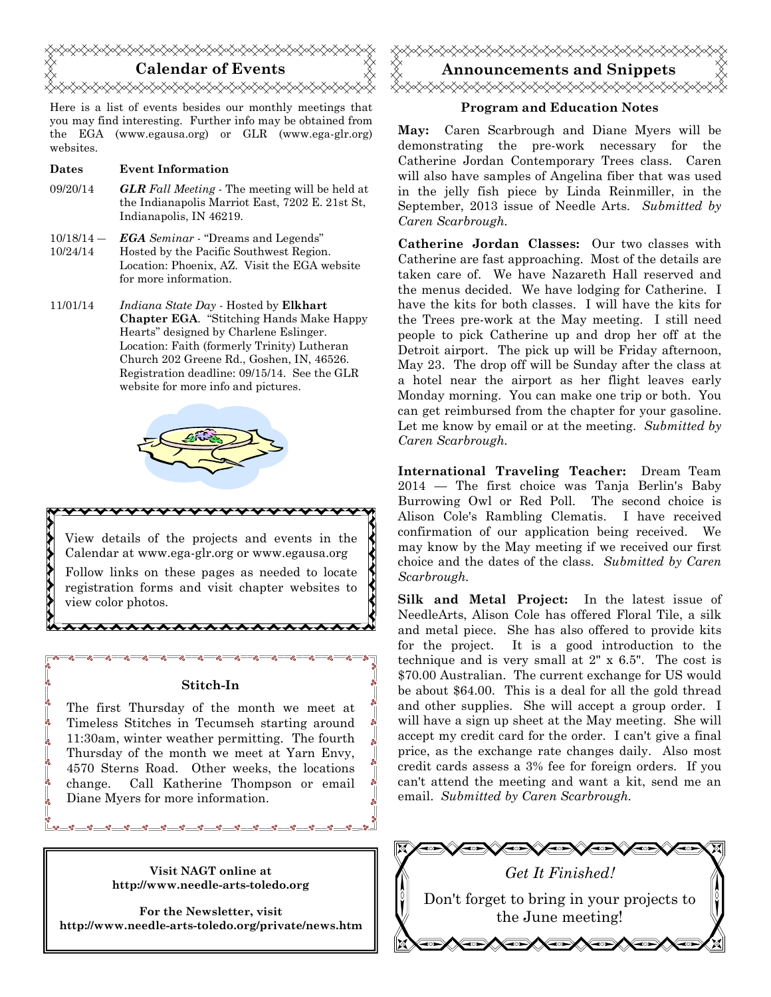

Here is a list of events besides our monthly meetings that you may find interesting. Further info may be obtained from the EGA (www.egausa.org) or GLR (www.ega-glr.org) websites.

## **Dates Event Information**

- 09/20/14 *GLR Fall Meeting* The meeting will be held at the Indianapolis Marriot East, 7202 E. 21st St, Indianapolis, IN 46219.
- $10/18/14 -$ 10/24/14 *EGA Seminar* - "Dreams and Legends" Hosted by the Pacific Southwest Region. Location: Phoenix, AZ. Visit the EGA website for more information.
- 11/01/14 *Indiana State Day* Hosted by **Elkhart Chapter EGA**. "Stitching Hands Make Happy Hearts" designed by Charlene Eslinger. Location: Faith (formerly Trinity) Lutheran Church 202 Greene Rd., Goshen, IN, 46526. Registration deadline: 09/15/14. See the GLR website for more info and pictures.



View details of the projects and events in the Calendar at www.ega-glr.org or www.egausa.org Follow links on these pages as needed to locate registration forms and visit chapter websites to view color photos.

## **Stitch-In**

\*\*\*\*\*\*\*\*\*\*

The first Thursday of the month we meet at Timeless Stitches in Tecumseh starting around 11:30am, winter weather permitting. The fourth Thursday of the month we meet at Yarn Envy, 4570 Sterns Road. Other weeks, the locations change. Call Katherine Thompson or email Diane Myers for more information.

> **Visit NAGT online at http://www.needle-arts-toledo.org**

**For the Newsletter, visit http://www.needle-arts-toledo.org/private/news.htm** 



## **Program and Education Notes**

**May:** Caren Scarbrough and Diane Myers will be demonstrating the pre-work necessary for the Catherine Jordan Contemporary Trees class. Caren will also have samples of Angelina fiber that was used in the jelly fish piece by Linda Reinmiller, in the September, 2013 issue of Needle Arts. *Submitted by Caren Scarbrough.* 

**Catherine Jordan Classes:** Our two classes with Catherine are fast approaching. Most of the details are taken care of. We have Nazareth Hall reserved and the menus decided. We have lodging for Catherine. I have the kits for both classes. I will have the kits for the Trees pre-work at the May meeting. I still need people to pick Catherine up and drop her off at the Detroit airport. The pick up will be Friday afternoon, May 23. The drop off will be Sunday after the class at a hotel near the airport as her flight leaves early Monday morning. You can make one trip or both. You can get reimbursed from the chapter for your gasoline. Let me know by email or at the meeting. *Submitted by Caren Scarbrough.* 

**International Traveling Teacher:** Dream Team 2014 — The first choice was Tanja Berlin's Baby Burrowing Owl or Red Poll. The second choice is Alison Cole's Rambling Clematis. I have received confirmation of our application being received. We may know by the May meeting if we received our first choice and the dates of the class. *Submitted by Caren Scarbrough.* 

**Silk and Metal Project:** In the latest issue of NeedleArts, Alison Cole has offered Floral Tile, a silk and metal piece. She has also offered to provide kits for the project. It is a good introduction to the technique and is very small at 2" x 6.5". The cost is \$70.00 Australian. The current exchange for US would be about \$64.00. This is a deal for all the gold thread and other supplies. She will accept a group order. I will have a sign up sheet at the May meeting. She will accept my credit card for the order. I can't give a final price, as the exchange rate changes daily. Also most credit cards assess a 3% fee for foreign orders. If you can't attend the meeting and want a kit, send me an email. *Submitted by Caren Scarbrough.*

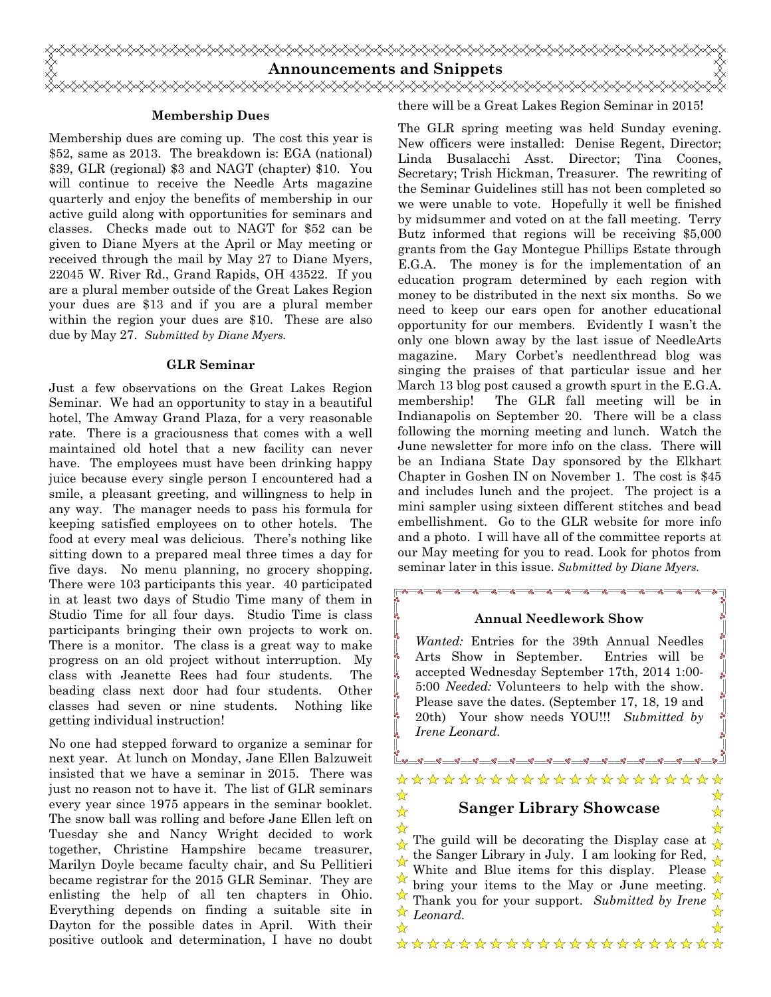

Ľ.

## **Membership Dues**

Membership dues are coming up. The cost this year is \$52, same as 2013. The breakdown is: EGA (national) \$39, GLR (regional) \$3 and NAGT (chapter) \$10. You will continue to receive the Needle Arts magazine quarterly and enjoy the benefits of membership in our active guild along with opportunities for seminars and classes. Checks made out to NAGT for \$52 can be given to Diane Myers at the April or May meeting or received through the mail by May 27 to Diane Myers, 22045 W. River Rd., Grand Rapids, OH 43522. If you are a plural member outside of the Great Lakes Region your dues are \$13 and if you are a plural member within the region your dues are \$10. These are also due by May 27. *Submitted by Diane Myers.* 

## **GLR Seminar**

Just a few observations on the Great Lakes Region Seminar. We had an opportunity to stay in a beautiful hotel, The Amway Grand Plaza, for a very reasonable rate. There is a graciousness that comes with a well maintained old hotel that a new facility can never have. The employees must have been drinking happy juice because every single person I encountered had a smile, a pleasant greeting, and willingness to help in any way. The manager needs to pass his formula for keeping satisfied employees on to other hotels. The food at every meal was delicious. There's nothing like sitting down to a prepared meal three times a day for five days. No menu planning, no grocery shopping. There were 103 participants this year. 40 participated in at least two days of Studio Time many of them in Studio Time for all four days. Studio Time is class participants bringing their own projects to work on. There is a monitor. The class is a great way to make progress on an old project without interruption. My class with Jeanette Rees had four students. The beading class next door had four students. Other classes had seven or nine students. Nothing like getting individual instruction!

No one had stepped forward to organize a seminar for next year. At lunch on Monday, Jane Ellen Balzuweit insisted that we have a seminar in 2015. There was just no reason not to have it. The list of GLR seminars every year since 1975 appears in the seminar booklet. The snow ball was rolling and before Jane Ellen left on Tuesday she and Nancy Wright decided to work together, Christine Hampshire became treasurer, Marilyn Doyle became faculty chair, and Su Pellitieri became registrar for the 2015 GLR Seminar. They are enlisting the help of all ten chapters in Ohio. Everything depends on finding a suitable site in Dayton for the possible dates in April. With their positive outlook and determination, I have no doubt

there will be a Great Lakes Region Seminar in 2015!

The GLR spring meeting was held Sunday evening. New officers were installed: Denise Regent, Director; Linda Busalacchi Asst. Director; Tina Coones, Secretary; Trish Hickman, Treasurer. The rewriting of the Seminar Guidelines still has not been completed so we were unable to vote. Hopefully it well be finished by midsummer and voted on at the fall meeting. Terry Butz informed that regions will be receiving \$5,000 grants from the Gay Montegue Phillips Estate through E.G.A. The money is for the implementation of an education program determined by each region with money to be distributed in the next six months. So we need to keep our ears open for another educational opportunity for our members. Evidently I wasn't the only one blown away by the last issue of NeedleArts magazine. Mary Corbet's needlenthread blog was singing the praises of that particular issue and her March 13 blog post caused a growth spurt in the E.G.A. membership! The GLR fall meeting will be in Indianapolis on September 20. There will be a class following the morning meeting and lunch. Watch the June newsletter for more info on the class. There will be an Indiana State Day sponsored by the Elkhart Chapter in Goshen IN on November 1. The cost is \$45 and includes lunch and the project. The project is a mini sampler using sixteen different stitches and bead embellishment. Go to the GLR website for more info and a photo. I will have all of the committee reports at our May meeting for you to read. Look for photos from seminar later in this issue. *Submitted by Diane Myers.*

### **Annual Needlework Show**

*Wanted:* Entries for the 39th Annual Needles Arts Show in September. Entries will be accepted Wednesday September 17th, 2014 1:00- 5:00 *Needed:* Volunteers to help with the show. Please save the dates. (September 17, 18, 19 and 20th) Your show needs YOU!!! *Submitted by Irene Leonard.* 

#### \*\*\*\*\*\*\*\*\*\*\*\*\*\*\*\*\*\*\*\*\* ☆ ☆ **Sanger Library Showcase**  ☆ ☆

☆ ☆ The guild will be decorating the Display case at ☆  $\frac{1}{2}$ the Sanger Library in July. I am looking for Red, ☆ ☆ White and Blue items for this display. Please ☆ ☆ bring your items to the May or June meeting. Thank you for your support. *Submitted by Irene*  ☆ *Leonard.* $\frac{1}{\mathbf{k}}$ ☆

\*\*\*\*\*\*\*\*\*\*\*\*\*\*\*\*\*\*\*\*\*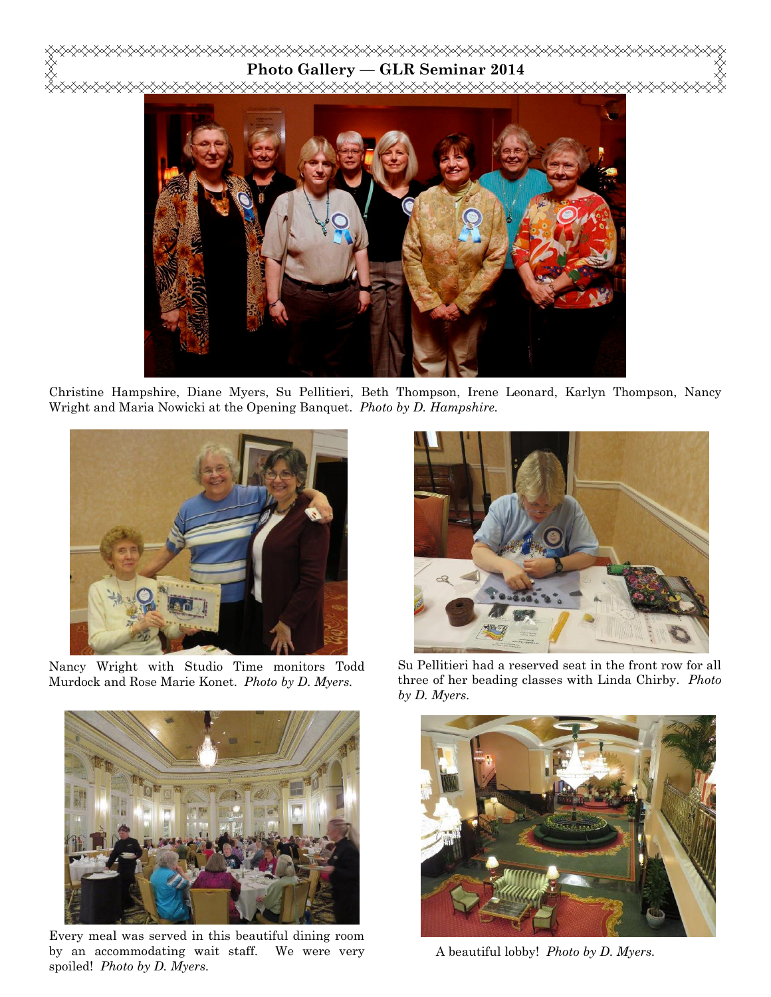# **Photo Gallery — GLR Seminar 2014**



Christine Hampshire, Diane Myers, Su Pellitieri, Beth Thompson, Irene Leonard, Karlyn Thompson, Nancy Wright and Maria Nowicki at the Opening Banquet. *Photo by D. Hampshire.*



Nancy Wright with Studio Time monitors Todd Murdock and Rose Marie Konet. *Photo by D. Myers.* 



Every meal was served in this beautiful dining room by an accommodating wait staff. We were very spoiled! *Photo by D. Myers.*



Su Pellitieri had a reserved seat in the front row for all three of her beading classes with Linda Chirby. *Photo by D. Myers.* 



A beautiful lobby! *Photo by D. Myers.*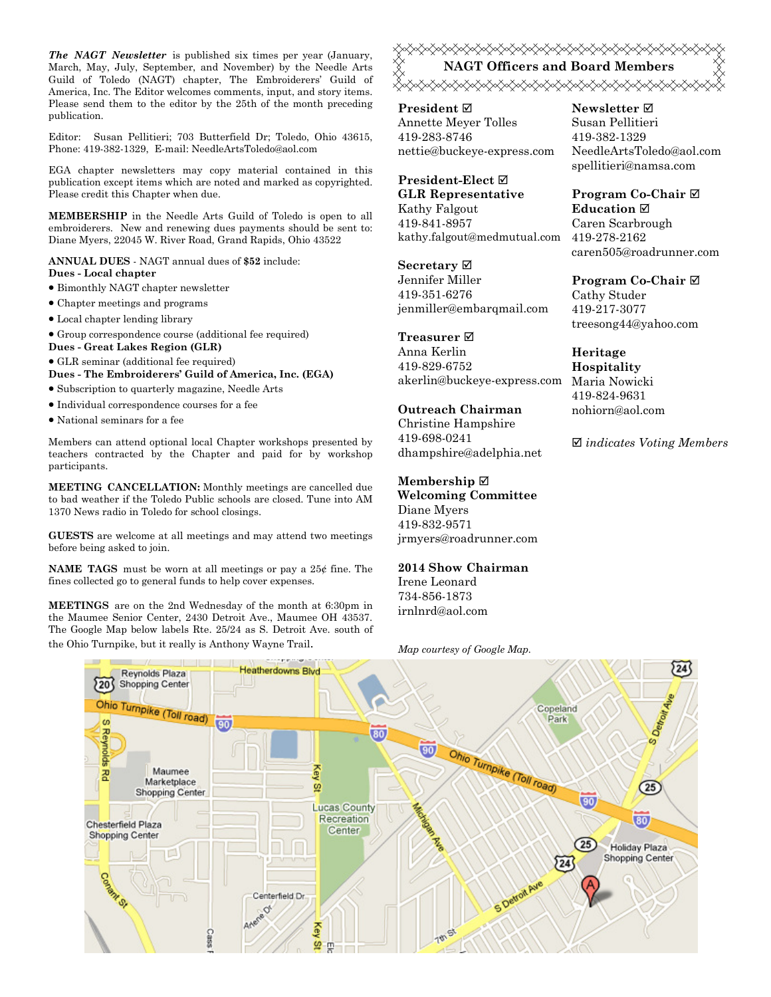*The NAGT Newsletter* is published six times per year (January, March, May, July, September, and November) by the Needle Arts Guild of Toledo (NAGT) chapter, The Embroiderers' Guild of America, Inc. The Editor welcomes comments, input, and story items. Please send them to the editor by the 25th of the month preceding publication.

Editor: Susan Pellitieri; 703 Butterfield Dr; Toledo, Ohio 43615, Phone: 419-382-1329, E-mail: NeedleArtsToledo@aol.com

EGA chapter newsletters may copy material contained in this publication except items which are noted and marked as copyrighted. Please credit this Chapter when due.

**MEMBERSHIP** in the Needle Arts Guild of Toledo is open to all embroiderers. New and renewing dues payments should be sent to: Diane Myers, 22045 W. River Road, Grand Rapids, Ohio 43522

**ANNUAL DUES** - NAGT annual dues of **\$52** include: **Dues - Local chapter** 

- Bimonthly NAGT chapter newsletter
- Chapter meetings and programs
- Local chapter lending library
- Group correspondence course (additional fee required)
- **Dues Great Lakes Region (GLR)**
- GLR seminar (additional fee required)

**Dues - The Embroiderers' Guild of America, Inc. (EGA)** 

- Subscription to quarterly magazine, Needle Arts
- Individual correspondence courses for a fee
- National seminars for a fee

Members can attend optional local Chapter workshops presented by teachers contracted by the Chapter and paid for by workshop participants.

**MEETING CANCELLATION:** Monthly meetings are cancelled due to bad weather if the Toledo Public schools are closed. Tune into AM 1370 News radio in Toledo for school closings.

**GUESTS** are welcome at all meetings and may attend two meetings before being asked to join.

**NAME TAGS** must be worn at all meetings or pay a 25¢ fine. The fines collected go to general funds to help cover expenses.

**MEETINGS** are on the 2nd Wednesday of the month at 6:30pm in the Maumee Senior Center, 2430 Detroit Ave., Maumee OH 43537. The Google Map below labels Rte. 25/24 as S. Detroit Ave. south of <del></del> **NAGT Officers and Board Members**  

**President** Annette Meyer Tolles 419-283-8746 nettie@buckeye-express.com

**President-Elect GLR Representative** Kathy Falgout 419-841-8957 kathy.falgout@medmutual.com

**Secretary** Jennifer Miller 419-351-6276 jenmiller@embarqmail.com

**Treasurer**  Anna Kerlin 419-829-6752 akerlin@buckeye-express.com Maria Nowicki

## **Outreach Chairman**

Christine Hampshire 419-698-0241 dhampshire@adelphia.net

## **Membership**

**Welcoming Committee**  Diane Myers 419-832-9571 jrmyers@roadrunner.com

**2014 Show Chairman**  Irene Leonard

734-856-1873 irnlnrd@aol.com **Newsletter**  Susan Pellitieri 419-382-1329 NeedleArtsToledo@aol.com spellitieri@namsa.com

**Program Co-Chair Education**  Caren Scarbrough 419-278-2162 caren505@roadrunner.com

**Program Co-Chair**  Cathy Studer 419-217-3077 treesong44@yahoo.com

**Heritage Hospitality**  419-824-9631 nohiorn@aol.com

*indicates Voting Members*